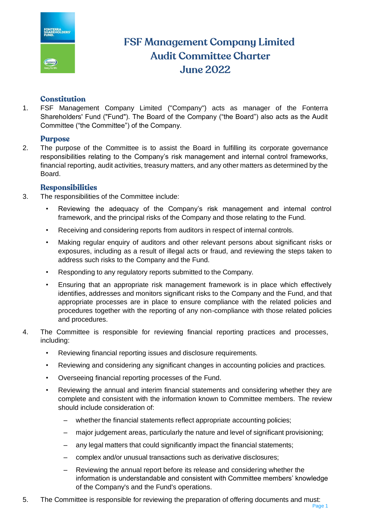

# **FSF Management Company Limited Audit Committee Charter June 2022**

# **Constitution**

1. FSF Management Company Limited ("Company") acts as manager of the Fonterra Shareholders' Fund ("Fund"). The Board of the Company ("the Board") also acts as the Audit Committee ("the Committee") of the Company.

# **Purpose**

2. The purpose of the Committee is to assist the Board in fulfilling its corporate governance responsibilities relating to the Company's risk management and internal control frameworks, financial reporting, audit activities, treasury matters, and any other matters as determined by the Board.

# **Responsibilities**

- 3. The responsibilities of the Committee include:
	- Reviewing the adequacy of the Company's risk management and internal control framework, and the principal risks of the Company and those relating to the Fund.
	- Receiving and considering reports from auditors in respect of internal controls.
	- Making regular enquiry of auditors and other relevant persons about significant risks or exposures, including as a result of illegal acts or fraud, and reviewing the steps taken to address such risks to the Company and the Fund.
	- Responding to any regulatory reports submitted to the Company.
	- Ensuring that an appropriate risk management framework is in place which effectively identifies, addresses and monitors significant risks to the Company and the Fund, and that appropriate processes are in place to ensure compliance with the related policies and procedures together with the reporting of any non-compliance with those related policies and procedures.
- 4. The Committee is responsible for reviewing financial reporting practices and processes, including:
	- Reviewing financial reporting issues and disclosure requirements.
	- Reviewing and considering any significant changes in accounting policies and practices.
	- Overseeing financial reporting processes of the Fund.
	- Reviewing the annual and interim financial statements and considering whether they are complete and consistent with the information known to Committee members. The review should include consideration of:
		- whether the financial statements reflect appropriate accounting policies;
		- major judgement areas, particularly the nature and level of significant provisioning;
		- any legal matters that could significantly impact the financial statements;
		- complex and/or unusual transactions such as derivative disclosures;
		- Reviewing the annual report before its release and considering whether the information is understandable and consistent with Committee members' knowledge of the Company's and the Fund's operations.
- 5. The Committee is responsible for reviewing the preparation of offering documents and must: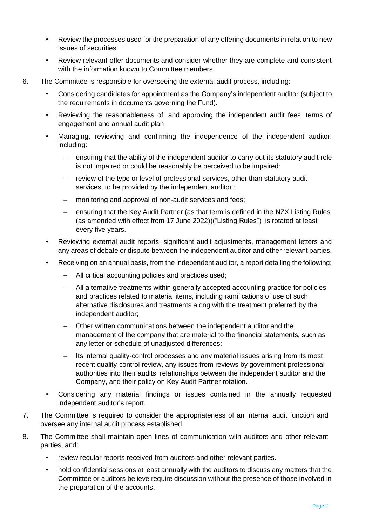- Review the processes used for the preparation of any offering documents in relation to new issues of securities.
- Review relevant offer documents and consider whether they are complete and consistent with the information known to Committee members.
- 6. The Committee is responsible for overseeing the external audit process, including:
	- Considering candidates for appointment as the Company's independent auditor (subject to the requirements in documents governing the Fund).
	- Reviewing the reasonableness of, and approving the independent audit fees, terms of engagement and annual audit plan;
	- Managing, reviewing and confirming the independence of the independent auditor, including:
		- ensuring that the ability of the independent auditor to carry out its statutory audit role is not impaired or could be reasonably be perceived to be impaired;
		- review of the type or level of professional services, other than statutory audit services, to be provided by the independent auditor ;
		- monitoring and approval of non-audit services and fees;
		- ensuring that the Key Audit Partner (as that term is defined in the NZX Listing Rules (as amended with effect from 17 June 2022))("Listing Rules") is rotated at least every five years.
	- Reviewing external audit reports, significant audit adjustments, management letters and any areas of debate or dispute between the independent auditor and other relevant parties.
	- Receiving on an annual basis, from the independent auditor, a report detailing the following:
		- All critical accounting policies and practices used;
		- All alternative treatments within generally accepted accounting practice for policies and practices related to material items, including ramifications of use of such alternative disclosures and treatments along with the treatment preferred by the independent auditor;
		- Other written communications between the independent auditor and the management of the company that are material to the financial statements, such as any letter or schedule of unadjusted differences;
		- Its internal quality-control processes and any material issues arising from its most recent quality-control review, any issues from reviews by government professional authorities into their audits, relationships between the independent auditor and the Company, and their policy on Key Audit Partner rotation.
	- Considering any material findings or issues contained in the annually requested independent auditor's report.
- 7. The Committee is required to consider the appropriateness of an internal audit function and oversee any internal audit process established.
- 8. The Committee shall maintain open lines of communication with auditors and other relevant parties, and:
	- review regular reports received from auditors and other relevant parties.
	- hold confidential sessions at least annually with the auditors to discuss any matters that the Committee or auditors believe require discussion without the presence of those involved in the preparation of the accounts.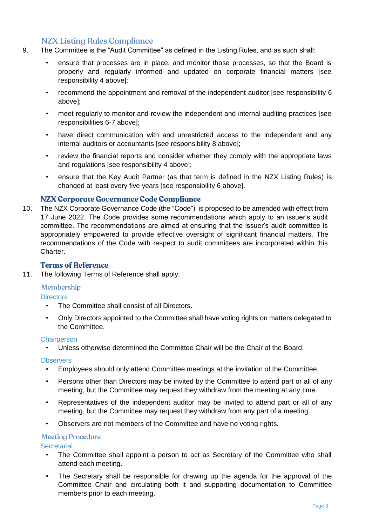# **NZX Listing Rules Compliance**

- 9. The Committee is the "Audit Committee" as defined in the Listing Rules, and as such shall:
	- ensure that processes are in place, and monitor those processes, so that the Board is properly and regularly informed and updated on corporate financial matters [see responsibility 4 above];
	- recommend the appointment and removal of the independent auditor [see responsibility 6 above];
	- meet regularly to monitor and review the independent and internal auditing practices [see responsibilities 6-7 above];
	- have direct communication with and unrestricted access to the independent and any internal auditors or accountants [see responsibility 8 above];
	- review the financial reports and consider whether they comply with the appropriate laws and regulations [see responsibility 4 above];
	- ensure that the Key Audit Partner (as that term is defined in the NZX Listing Rules) is changed at least every five years [see responsibility 6 above].

# NZX Corporate Governance Code Compliance

10. The NZX Corporate Governance Code (the "Code") is proposed to be amended with effect from 17 June 2022. The Code provides some recommendations which apply to an issuer's audit committee. The recommendations are aimed at ensuring that the issuer's audit committee is appropriately empowered to provide effective oversight of significant financial matters. The recommendations of the Code with respect to audit committees are incorporated within this Charter.

# **Terms of Reference**

11. The following Terms of Reference shall apply.

# Membership

**Directors** 

- The Committee shall consist of all Directors.
- Only Directors appointed to the Committee shall have voting rights on matters delegated to the Committee.

#### **Chairperson**

• Unless otherwise determined the Committee Chair will be the Chair of the Board.

#### **Observers**

- Employees should only attend Committee meetings at the invitation of the Committee.
- Persons other than Directors may be invited by the Committee to attend part or all of any meeting, but the Committee may request they withdraw from the meeting at any time.
- Representatives of the independent auditor may be invited to attend part or all of any meeting, but the Committee may request they withdraw from any part of a meeting.
- Observers are not members of the Committee and have no voting rights.

# **Meeting Procedure**

**Secretarial** 

- The Committee shall appoint a person to act as Secretary of the Committee who shall attend each meeting.
- The Secretary shall be responsible for drawing up the agenda for the approval of the Committee Chair and circulating both it and supporting documentation to Committee members prior to each meeting.